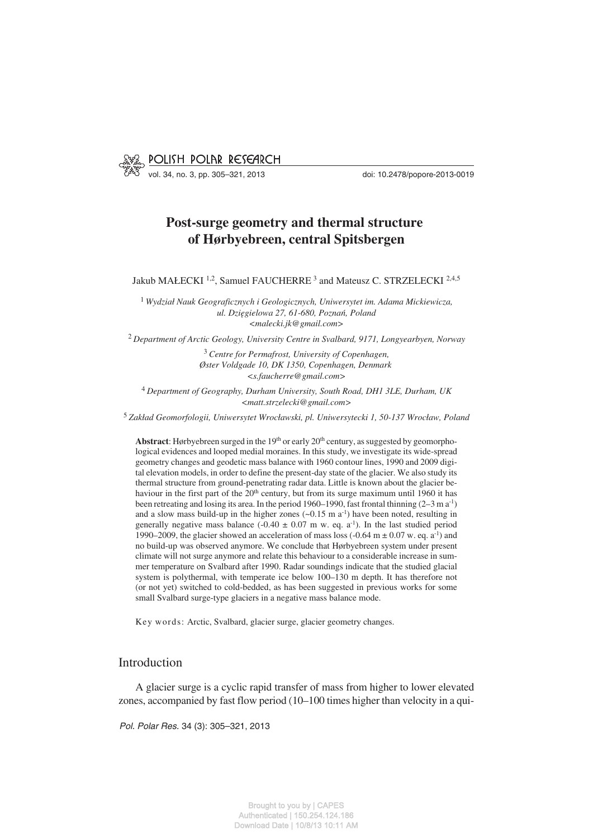

vol. 34, no. 3, pp. 305–321, 2013 doi: 10.2478/popore−2013−0019

# **Post−surge geometry and thermal structure of Hørbyebreen, central Spitsbergen**

Jakub MAŁECKI<sup>1,2</sup>, Samuel FAUCHERRE<sup>3</sup> and Mateusz C. STRZELECKI<sup>2,4,5</sup>

<sup>1</sup> *Wydział Nauk Geograficznych i Geologicznych, Uniwersytet im. Adama Mickiewicza, ul. Dzięgielowa 27, 61−680, Poznań, Poland <malecki.jk@gmail.com>*

<sup>2</sup> *Department of Arctic Geology, University Centre in Svalbard, 9171, Longyearbyen, Norway*

<sup>3</sup> *Centre for Permafrost, University of Copenhagen, Øster Voldgade 10, DK 1350, Copenhagen, Denmark <s.faucherre@gmail.com>*

<sup>4</sup> *Department of Geography, Durham University, South Road, DH1 3LE, Durham, UK <matt.strzelecki@gmail.com>*

<sup>5</sup> *Zakład Geomorfologii, Uniwersytet Wrocławski, pl. Uniwersytecki 1, 50−137 Wrocław, Poland*

Abstract: Hørbyebreen surged in the 19<sup>th</sup> or early 20<sup>th</sup> century, as suggested by geomorphological evidences and looped medial moraines. In this study, we investigate its wide−spread geometry changes and geodetic mass balance with 1960 contour lines, 1990 and 2009 digi− tal elevation models, in order to define the present−day state of the glacier. We also study its thermal structure from ground−penetrating radar data. Little is known about the glacier be− haviour in the first part of the  $20<sup>th</sup>$  century, but from its surge maximum until 1960 it has been retreating and losing its area. In the period 1960–1990, fast frontal thinning (2–3 m a−1) and a slow mass build−up in the higher zones (~0.15 m a−1) have been noted, resulting in generally negative mass balance ( $-0.40 \pm 0.07$  m w. eq. a<sup>-1</sup>). In the last studied period 1990–2009, the glacier showed an acceleration of mass loss  $(-0.64 \text{ m} \pm 0.07 \text{ w}$ . eq. a<sup>-1</sup>) and no build−up was observed anymore. We conclude that Hørbyebreen system under present climate will not surge anymore and relate this behaviour to a considerable increase in sum− mer temperature on Svalbard after 1990. Radar soundings indicate that the studied glacial system is polythermal, with temperate ice below 100–130 m depth. It has therefore not (or not yet) switched to cold−bedded, as has been suggested in previous works for some small Svalbard surge−type glaciers in a negative mass balance mode.

Key words: Arctic, Svalbard, glacier surge, glacier geometry changes.

## Introduction

A glacier surge is a cyclic rapid transfer of mass from higher to lower elevated zones, accompanied by fast flow period (10–100 times higher than velocity in a qui−

*Pol. Polar Res.* 34 (3): 305–321, 2013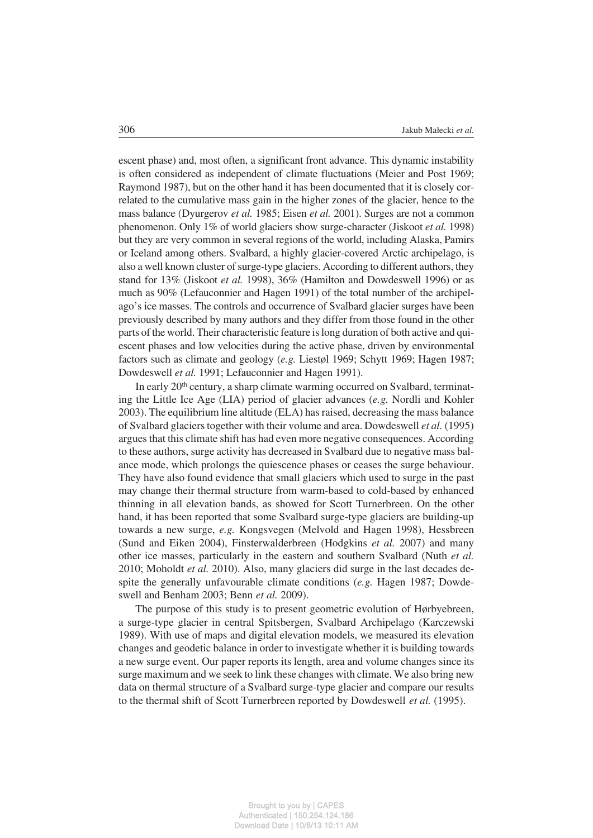escent phase) and, most often, a significant front advance. This dynamic instability is often considered as independent of climate fluctuations (Meier and Post 1969; Raymond 1987), but on the other hand it has been documented that it is closely cor− related to the cumulative mass gain in the higher zones of the glacier, hence to the mass balance (Dyurgerov *et al.* 1985; Eisen *et al.* 2001). Surges are not a common phenomenon. Only 1% of world glaciers show surge−character (Jiskoot *et al.* 1998) but they are very common in several regions of the world, including Alaska, Pamirs or Iceland among others. Svalbard, a highly glacier−covered Arctic archipelago, is also a well known cluster of surge−type glaciers. According to different authors, they stand for 13% (Jiskoot *et al.* 1998), 36% (Hamilton and Dowdeswell 1996) or as much as 90% (Lefauconnier and Hagen 1991) of the total number of the archipel− ago's ice masses. The controls and occurrence of Svalbard glacier surges have been previously described by many authors and they differ from those found in the other parts of the world. Their characteristic feature is long duration of both active and qui− escent phases and low velocities during the active phase, driven by environmental factors such as climate and geology (*e.g.* Liestøl 1969; Schytt 1969; Hagen 1987; Dowdeswell *et al.* 1991; Lefauconnier and Hagen 1991).

In early 20<sup>th</sup> century, a sharp climate warming occurred on Svalbard, terminating the Little Ice Age (LIA) period of glacier advances (*e.g.* Nordli and Kohler 2003). The equilibrium line altitude (ELA) has raised, decreasing the mass balance of Svalbard glaciers together with their volume and area. Dowdeswell *et al.* (1995) argues that this climate shift has had even more negative consequences. According to these authors, surge activity has decreased in Svalbard due to negative mass bal− ance mode, which prolongs the quiescence phases or ceases the surge behaviour. They have also found evidence that small glaciers which used to surge in the past may change their thermal structure from warm−based to cold−based by enhanced thinning in all elevation bands, as showed for Scott Turnerbreen. On the other hand, it has been reported that some Svalbard surge−type glaciers are building−up towards a new surge, *e.g.* Kongsvegen (Melvold and Hagen 1998), Hessbreen (Sund and Eiken 2004), Finsterwalderbreen (Hodgkins *et al.* 2007) and many other ice masses, particularly in the eastern and southern Svalbard (Nuth *et al.* 2010; Moholdt *et al.* 2010). Also, many glaciers did surge in the last decades de− spite the generally unfavourable climate conditions (*e.g.* Hagen 1987; Dowde− swell and Benham 2003; Benn *et al.* 2009).

The purpose of this study is to present geometric evolution of Hørbyebreen, a surge−type glacier in central Spitsbergen, Svalbard Archipelago (Karczewski 1989). With use of maps and digital elevation models, we measured its elevation changes and geodetic balance in order to investigate whether it is building towards a new surge event. Our paper reports its length, area and volume changes since its surge maximum and we seek to link these changes with climate. We also bring new data on thermal structure of a Svalbard surge−type glacier and compare our results to the thermal shift of Scott Turnerbreen reported by Dowdeswell *et al.* (1995).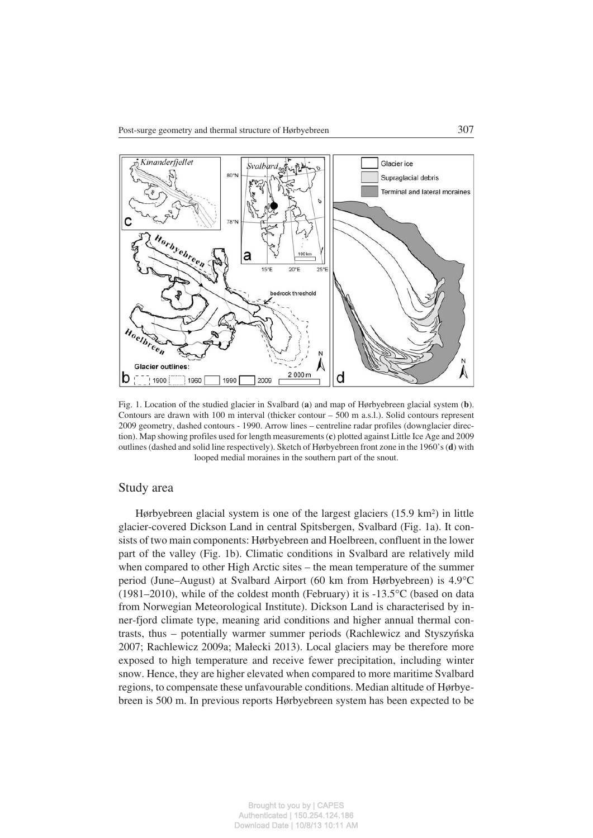

Fig. 1. Location of the studied glacier in Svalbard (**a**) and map of Hørbyebreen glacial system (**b**). Contours are drawn with 100 m interval (thicker contour – 500 m a.s.l.). Solid contours represent 2009 geometry, dashed contours − 1990. Arrow lines – centreline radar profiles (downglacier direc− tion). Map showing profiles used for length measurements (**c**) plotted against Little Ice Age and 2009 outlines (dashed and solid line respectively). Sketch of Hørbyebreen front zone in the 1960's (**d**) with looped medial moraines in the southern part of the snout.

# Study area

Hørbyebreen glacial system is one of the largest glaciers (15.9 km2) in little glacier−covered Dickson Land in central Spitsbergen, Svalbard (Fig. 1a). It con− sists of two main components: Hørbyebreen and Hoelbreen, confluent in the lower part of the valley (Fig. 1b). Climatic conditions in Svalbard are relatively mild when compared to other High Arctic sites – the mean temperature of the summer period (June–August) at Svalbard Airport (60 km from Hørbyebreen) is 4.9°C (1981–2010), while of the coldest month (February) it is −13.5-C (based on data from Norwegian Meteorological Institute). Dickson Land is characterised by in− ner−fjord climate type, meaning arid conditions and higher annual thermal con− trasts, thus – potentially warmer summer periods (Rachlewicz and Styszyńska 2007; Rachlewicz 2009a; Małecki 2013). Local glaciers may be therefore more exposed to high temperature and receive fewer precipitation, including winter snow. Hence, they are higher elevated when compared to more maritime Svalbard regions, to compensate these unfavourable conditions. Median altitude of Hørbye− breen is 500 m. In previous reports Hørbyebreen system has been expected to be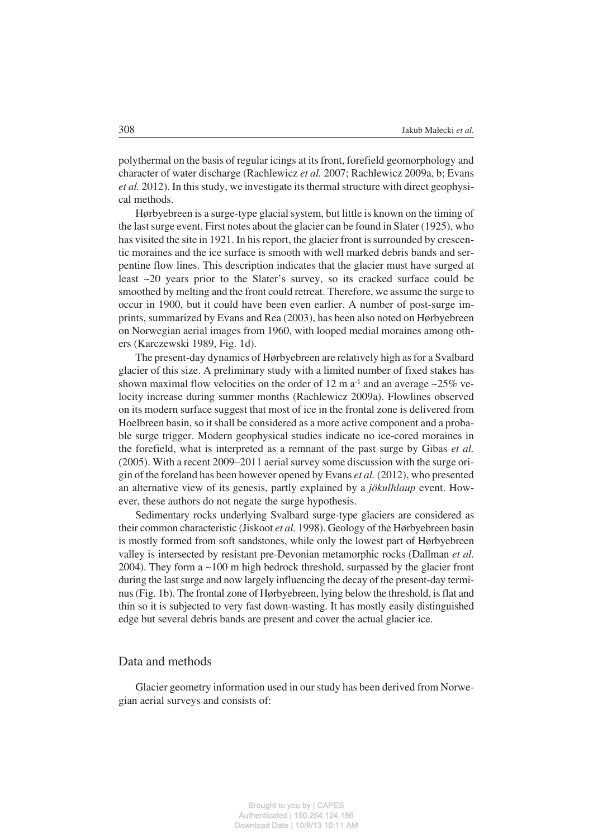polythermal on the basis of regular icings at its front, forefield geomorphology and character of water discharge (Rachlewicz *et al.* 2007; Rachlewicz 2009a, b; Evans *et al.* 2012). In this study, we investigate its thermal structure with direct geophysical methods.

Hørbyebreen is a surge−type glacial system, but little is known on the timing of the last surge event. First notes about the glacier can be found in Slater (1925), who has visited the site in 1921. In his report, the glacier front is surrounded by crescen− tic moraines and the ice surface is smooth with well marked debris bands and ser− pentine flow lines. This description indicates that the glacier must have surged at least ~20 years prior to the Slater's survey, so its cracked surface could be smoothed by melting and the front could retreat. Therefore, we assume the surge to occur in 1900, but it could have been even earlier. A number of post−surge im− prints, summarized by Evans and Rea (2003), has been also noted on Hørbyebreen on Norwegian aerial images from 1960, with looped medial moraines among oth− ers (Karczewski 1989, Fig. 1d).

The present−day dynamics of Hørbyebreen are relatively high as for a Svalbard glacier of this size. A preliminary study with a limited number of fixed stakes has shown maximal flow velocities on the order of 12 m a<sup>-1</sup> and an average ~25% velocity increase during summer months (Rachlewicz 2009a). Flowlines observed on its modern surface suggest that most of ice in the frontal zone is delivered from Hoelbreen basin, so it shall be considered as a more active component and a proba− ble surge trigger. Modern geophysical studies indicate no ice−cored moraines in the forefield, what is interpreted as a remnant of the past surge by Gibas *et al.* (2005). With a recent 2009–2011 aerial survey some discussion with the surge ori− gin of the foreland has been however opened by Evans *et al.* (2012), who presented an alternative view of its genesis, partly explained by a *jökulhlaup* event. How− ever, these authors do not negate the surge hypothesis.

Sedimentary rocks underlying Svalbard surge−type glaciers are considered as their common characteristic (Jiskoot *et al.* 1998). Geology of the Hørbyebreen basin is mostly formed from soft sandstones, while only the lowest part of Hørbyebreen valley is intersected by resistant pre−Devonian metamorphic rocks (Dallman *et al.* 2004). They form a ~100 m high bedrock threshold, surpassed by the glacier front during the last surge and now largely influencing the decay of the present−day termi− nus (Fig. 1b). The frontal zone of Hørbyebreen, lying below the threshold, is flat and thin so it is subjected to very fast down−wasting. It has mostly easily distinguished edge but several debris bands are present and cover the actual glacier ice.

#### Data and methods

Glacier geometry information used in our study has been derived from Norwe− gian aerial surveys and consists of: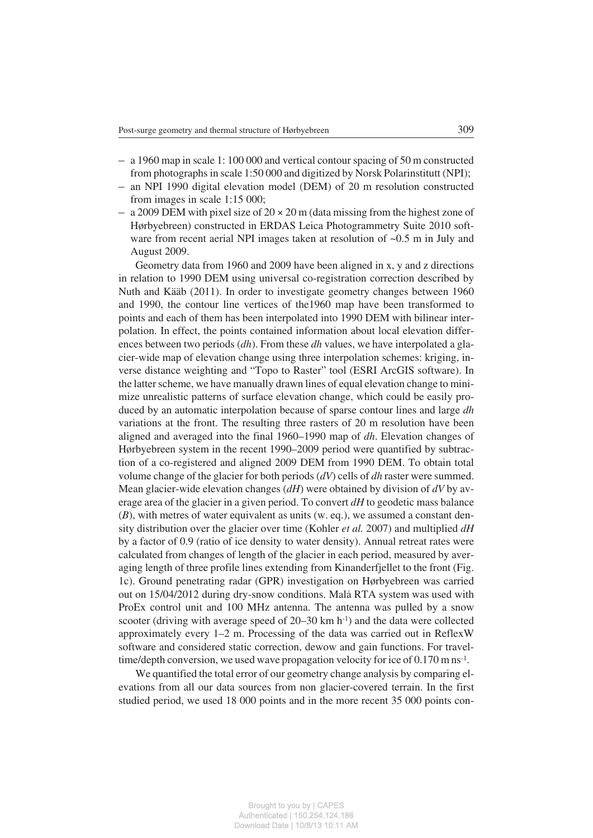- a 1960 map in scale 1: 100 000 and vertical contour spacing of 50 m constructed from photographs in scale 1:50 000 and digitized by Norsk Polarinstitutt (NPI);
- an NPI 1990 digital elevation model (DEM) of 20 m resolution constructed from images in scale 1:15 000;
- a 2009 DEM with pixel size of  $20 \times 20$  m (data missing from the highest zone of Hørbyebreen) constructed in ERDAS Leica Photogrammetry Suite 2010 soft− ware from recent aerial NPI images taken at resolution of ~0.5 m in July and August 2009.

Geometry data from 1960 and 2009 have been aligned in x, y and z directions in relation to 1990 DEM using universal co−registration correction described by Nuth and Kääb (2011). In order to investigate geometry changes between 1960 and 1990, the contour line vertices of the1960 map have been transformed to points and each of them has been interpolated into 1990 DEM with bilinear inter− polation. In effect, the points contained information about local elevation differ− ences between two periods (*dh*). From these *dh* values, we have interpolated a gla− cier−wide map of elevation change using three interpolation schemes: kriging, in− verse distance weighting and "Topo to Raster" tool (ESRI ArcGIS software). In the latter scheme, we have manually drawn lines of equal elevation change to mini− mize unrealistic patterns of surface elevation change, which could be easily pro− duced by an automatic interpolation because of sparse contour lines and large *dh* variations at the front. The resulting three rasters of 20 m resolution have been aligned and averaged into the final 1960–1990 map of *dh*. Elevation changes of Hørbyebreen system in the recent 1990–2009 period were quantified by subtrac− tion of a co−registered and aligned 2009 DEM from 1990 DEM. To obtain total volume change of the glacier for both periods (*dV*) cells of *dh* raster were summed. Mean glacier−wide elevation changes (*dH*) were obtained by division of *dV* by av− erage area of the glacier in a given period. To convert *dH* to geodetic mass balance (*B*), with metres of water equivalent as units (w. eq.), we assumed a constant den− sity distribution over the glacier over time (Kohler *et al.* 2007) and multiplied *dH* by a factor of 0.9 (ratio of ice density to water density). Annual retreat rates were calculated from changes of length of the glacier in each period, measured by aver− aging length of three profile lines extending from Kinanderfjellet to the front (Fig. 1c). Ground penetrating radar (GPR) investigation on Hørbyebreen was carried out on 15/04/2012 during dry−snow conditions. Malå RTA system was used with ProEx control unit and 100 MHz antenna. The antenna was pulled by a snow scooter (driving with average speed of 20–30 km h<sup>-1</sup>) and the data were collected approximately every 1–2 m. Processing of the data was carried out in ReflexW software and considered static correction, dewow and gain functions. For travel− time/depth conversion, we used wave propagation velocity for ice of 0.170 m ns−1.

We quantified the total error of our geometry change analysis by comparing el− evations from all our data sources from non glacier−covered terrain. In the first studied period, we used 18 000 points and in the more recent 35 000 points con−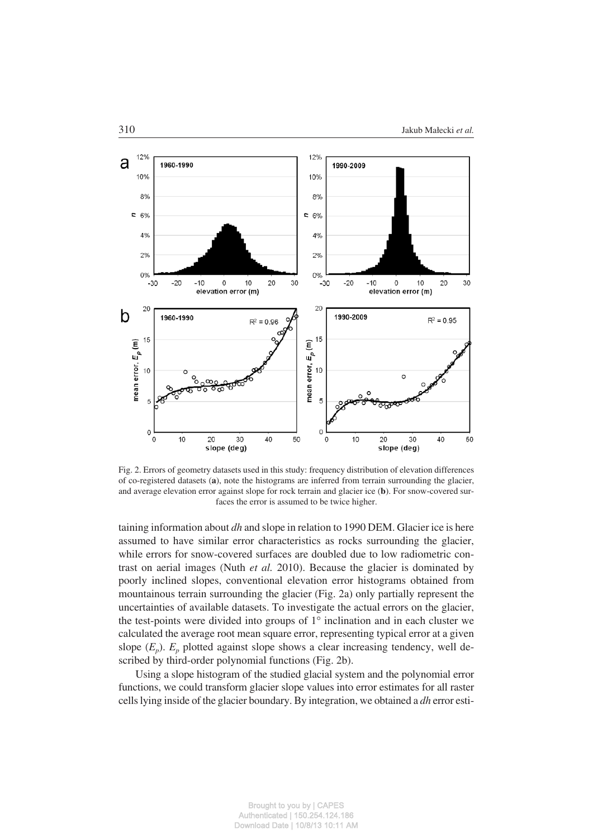

Fig. 2. Errors of geometry datasets used in this study: frequency distribution of elevation differences of co−registered datasets (**a**), note the histograms are inferred from terrain surrounding the glacier, and average elevation error against slope for rock terrain and glacier ice (**b**). For snow−covered sur− faces the error is assumed to be twice higher.

taining information about *dh* and slope in relation to 1990 DEM. Glacier ice is here assumed to have similar error characteristics as rocks surrounding the glacier, while errors for snow−covered surfaces are doubled due to low radiometric con− trast on aerial images (Nuth *et al.* 2010). Because the glacier is dominated by poorly inclined slopes, conventional elevation error histograms obtained from mountainous terrain surrounding the glacier (Fig. 2a) only partially represent the uncertainties of available datasets. To investigate the actual errors on the glacier, the test-points were divided into groups of  $1^{\circ}$  inclination and in each cluster we calculated the average root mean square error, representing typical error at a given slope  $(E_p)$ .  $E_p$  plotted against slope shows a clear increasing tendency, well described by third−order polynomial functions (Fig. 2b).

Using a slope histogram of the studied glacial system and the polynomial error functions, we could transform glacier slope values into error estimates for all raster cells lying inside of the glacier boundary. By integration, we obtained a *dh* error esti−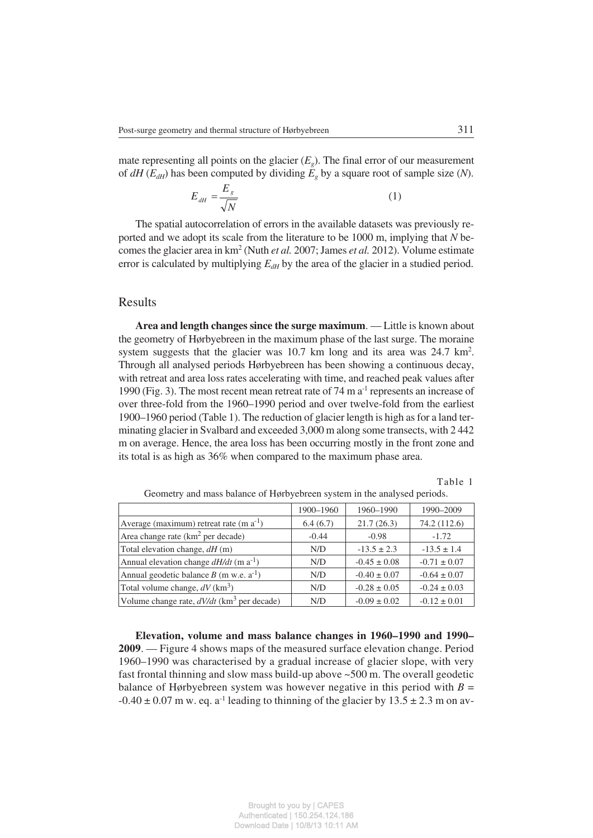mate representing all points on the glacier  $(E<sub>o</sub>)$ . The final error of our measurement of  $dH(E_{dH})$  has been computed by dividing  $E_g$  by a square root of sample size (N).

$$
E_{dH} = \frac{E_s}{\sqrt{N}}\tag{1}
$$

The spatial autocorrelation of errors in the available datasets was previously re− ported and we adopt its scale from the literature to be 1000 m, implying that *N* be− comes the glacier area in km2 (Nuth *et al.* 2007; James *et al.* 2012). Volume estimate error is calculated by multiplying  $E_{dH}$  by the area of the glacier in a studied period.

### Results

**Area and length changes since the surge maximum**. — Little is known about the geometry of Hørbyebreen in the maximum phase of the last surge. The moraine system suggests that the glacier was  $10.7$  km long and its area was  $24.7$  km<sup>2</sup>. Through all analysed periods Hørbyebreen has been showing a continuous decay, with retreat and area loss rates accelerating with time, and reached peak values after 1990 (Fig. 3). The most recent mean retreat rate of 74 m a−1 represents an increase of over three−fold from the 1960–1990 period and over twelve−fold from the earliest 1900–1960 period (Table 1). The reduction of glacier length is high as for a land ter− minating glacier in Svalbard and exceeded 3,000 m along some transects, with 2 442 m on average. Hence, the area loss has been occurring mostly in the front zone and its total is as high as 36% when compared to the maximum phase area.

Table 1

|                                                          | 1900-1960 | 1960-1990        | 1990-2009        |
|----------------------------------------------------------|-----------|------------------|------------------|
| Average (maximum) retreat rate (m $a^{-1}$ )             | 6.4(6.7)  | 21.7(26.3)       | 74.2 (112.6)     |
| Area change rate $(km2$ per decade)                      | $-0.44$   | $-0.98$          | $-1.72$          |
| Total elevation change, dH (m)                           | N/D       | $-13.5 \pm 2.3$  | $-13.5 \pm 1.4$  |
| Annual elevation change $dH/dt$ (m a <sup>-1</sup> )     | N/D       | $-0.45 \pm 0.08$ | $-0.71 \pm 0.07$ |
| Annual geodetic balance $B$ (m w.e. $a^{-1}$ )           | N/D       | $-0.40 \pm 0.07$ | $-0.64 \pm 0.07$ |
| Total volume change, $dV$ (km <sup>3</sup> )             | N/D       | $-0.28 \pm 0.05$ | $-0.24 \pm 0.03$ |
| Volume change rate, $dV/dt$ (km <sup>3</sup> per decade) | N/D       | $-0.09 \pm 0.02$ | $-0.12 \pm 0.01$ |

Geometry and mass balance of Hørbyebreen system in the analysed periods.

**Elevation, volume and mass balance changes in 1960–1990 and 1990– 2009**. — Figure 4 shows maps of the measured surface elevation change. Period 1960–1990 was characterised by a gradual increase of glacier slope, with very fast frontal thinning and slow mass build−up above ~500 m. The overall geodetic balance of Hørbyebreen system was however negative in this period with  $B =$  $-0.40 \pm 0.07$  m w. eq. a<sup>-1</sup> leading to thinning of the glacier by 13.5 ± 2.3 m on av-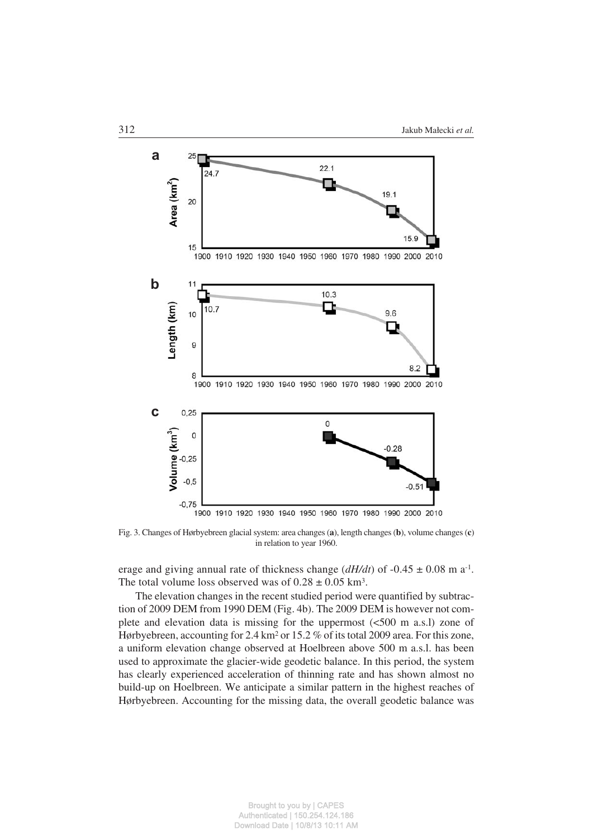

Fig. 3. Changes of Hørbyebreen glacial system: area changes (**a**), length changes (**b**), volume changes (**c**) in relation to year 1960.

erage and giving annual rate of thickness change (*dH/dt*) of −0.45 ± 0.08 m a−1. The total volume loss observed was of  $0.28 \pm 0.05$  km<sup>3</sup>.

The elevation changes in the recent studied period were quantified by subtrac− tion of 2009 DEM from 1990 DEM (Fig. 4b). The 2009 DEM is however not com− plete and elevation data is missing for the uppermost  $\langle$  <500 m a.s.l) zone of Hørbyebreen, accounting for 2.4 km2 or 15.2 % of its total 2009 area. For this zone, a uniform elevation change observed at Hoelbreen above 500 m a.s.l. has been used to approximate the glacier−wide geodetic balance. In this period, the system has clearly experienced acceleration of thinning rate and has shown almost no build−up on Hoelbreen. We anticipate a similar pattern in the highest reaches of Hørbyebreen. Accounting for the missing data, the overall geodetic balance was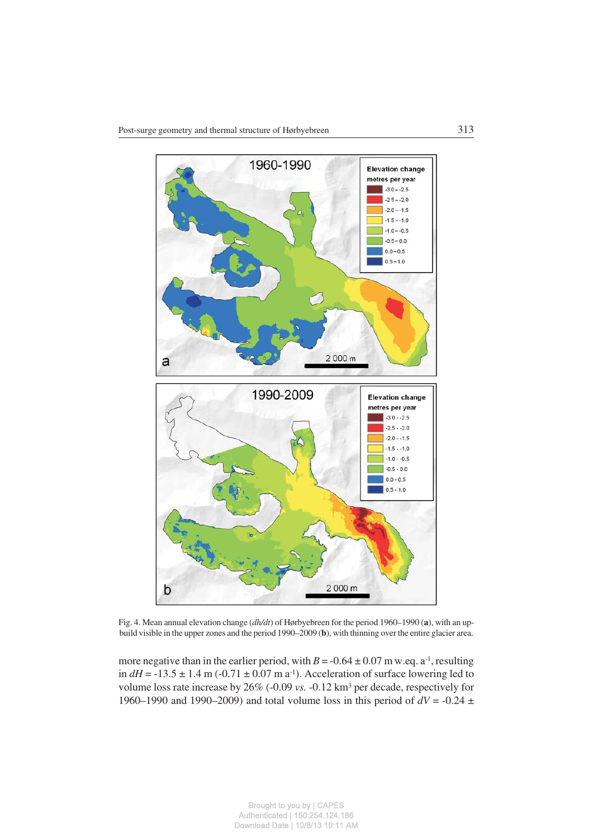

Fig. 4. Mean annual elevation change (*dh/dt*) of Hørbyebreen for the period 1960–1990 (**a**), with an up− build visible in the upper zones and the period 1990–2009 (**b**), with thinning over the entire glacier area.

more negative than in the earlier period, with  $B = -0.64 \pm 0.07$  m w.eq. a<sup>-1</sup>, resulting in  $dH$  = −13.5 ± 1.4 m (−0.71 ± 0.07 m a<sup>-1</sup>). Acceleration of surface lowering led to volume loss rate increase by 26% (−0.09 *vs.* −0.12 km3 per decade, respectively for 1960–1990 and 1990–2009) and total volume loss in this period of *dV* = −0.24 ±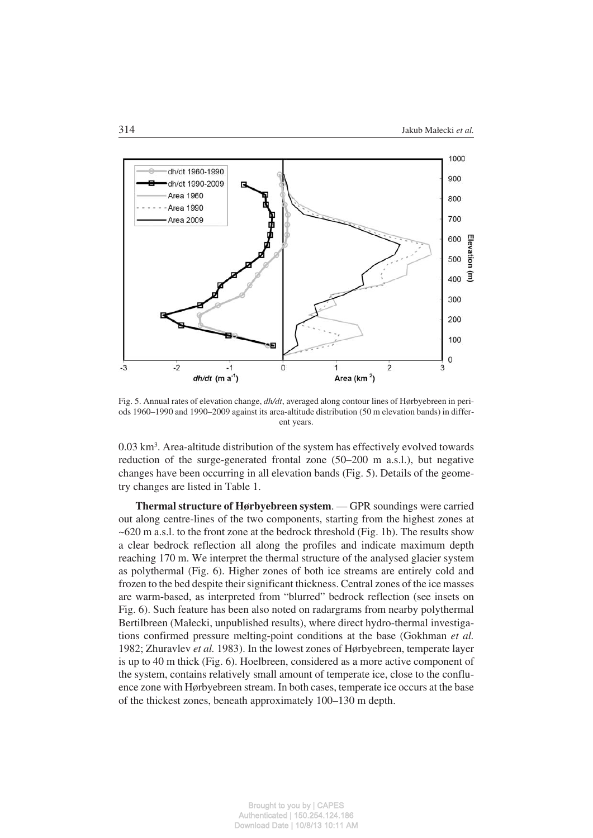

Fig. 5. Annual rates of elevation change, *dh/dt*, averaged along contour lines of Hørbyebreen in peri− ods 1960–1990 and 1990–2009 against its area−altitude distribution (50 m elevation bands) in differ− ent years.

0.03 km3. Area−altitude distribution of the system has effectively evolved towards reduction of the surge−generated frontal zone (50–200 m a.s.l.), but negative changes have been occurring in all elevation bands (Fig. 5). Details of the geome− try changes are listed in Table 1.

**Thermal structure of Hørbyebreen system**. — GPR soundings were carried out along centre−lines of the two components, starting from the highest zones at  $\sim$  620 m a.s.l. to the front zone at the bedrock threshold (Fig. 1b). The results show a clear bedrock reflection all along the profiles and indicate maximum depth reaching 170 m. We interpret the thermal structure of the analysed glacier system as polythermal (Fig. 6). Higher zones of both ice streams are entirely cold and frozen to the bed despite their significant thickness. Central zones of the ice masses are warm−based, as interpreted from "blurred" bedrock reflection (see insets on Fig. 6). Such feature has been also noted on radargrams from nearby polythermal Bertilbreen (Małecki, unpublished results), where direct hydro−thermal investiga− tions confirmed pressure melting−point conditions at the base (Gokhman *et al.* 1982; Zhuravlev *et al.* 1983). In the lowest zones of Hørbyebreen, temperate layer is up to 40 m thick (Fig. 6). Hoelbreen, considered as a more active component of the system, contains relatively small amount of temperate ice, close to the conflu− ence zone with Hørbyebreen stream. In both cases, temperate ice occurs at the base of the thickest zones, beneath approximately 100–130 m depth.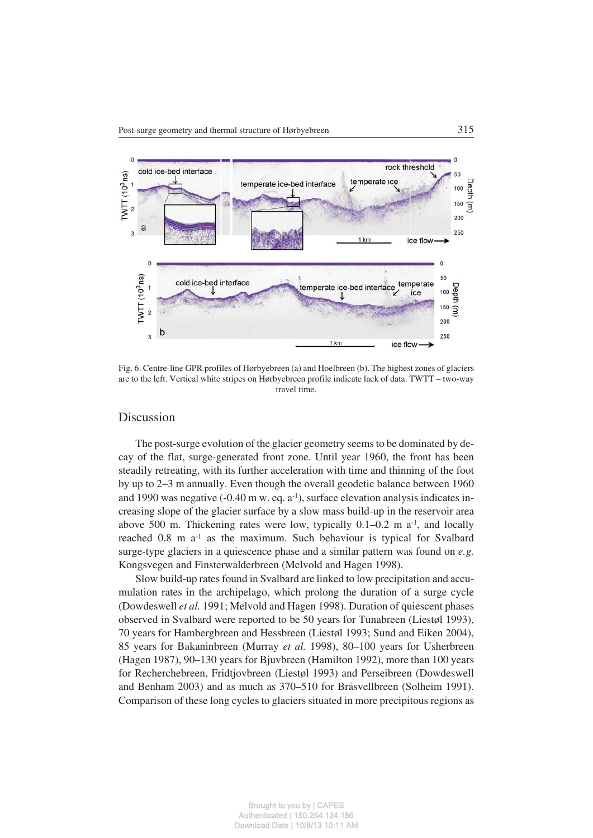

Fig. 6. Centre−line GPR profiles of Hørbyebreen (a) and Hoelbreen (b). The highest zones of glaciers are to the left. Vertical white stripes on Hørbyebreen profile indicate lack of data. TWTT – two−way travel time.

#### **Discussion**

The post-surge evolution of the glacier geometry seems to be dominated by de− cay of the flat, surge−generated front zone. Until year 1960, the front has been steadily retreating, with its further acceleration with time and thinning of the foot by up to 2–3 m annually. Even though the overall geodetic balance between 1960 and 1990 was negative (−0.40 m w. eq. a−1), surface elevation analysis indicates in− creasing slope of the glacier surface by a slow mass build−up in the reservoir area above 500 m. Thickening rates were low, typically 0.1–0.2 m a−1, and locally reached 0.8 m a−1 as the maximum. Such behaviour is typical for Svalbard surge−type glaciers in a quiescence phase and a similar pattern was found on *e.g.* Kongsvegen and Finsterwalderbreen (Melvold and Hagen 1998).

Slow build−up rates found in Svalbard are linked to low precipitation and accu− mulation rates in the archipelago, which prolong the duration of a surge cycle (Dowdeswell *et al.* 1991; Melvold and Hagen 1998). Duration of quiescent phases observed in Svalbard were reported to be 50 years for Tunabreen (Liestøl 1993), 70 years for Hambergbreen and Hessbreen (Liestøl 1993; Sund and Eiken 2004), 85 years for Bakaninbreen (Murray *et al.* 1998), 80–100 years for Usherbreen (Hagen 1987), 90–130 years for Bjuvbreen (Hamilton 1992), more than 100 years for Recherchebreen, Fridtjovbreen (Liestøl 1993) and Perseibreen (Dowdeswell and Benham 2003) and as much as 370–510 for Bråsvellbreen (Solheim 1991). Comparison of these long cycles to glaciers situated in more precipitous regions as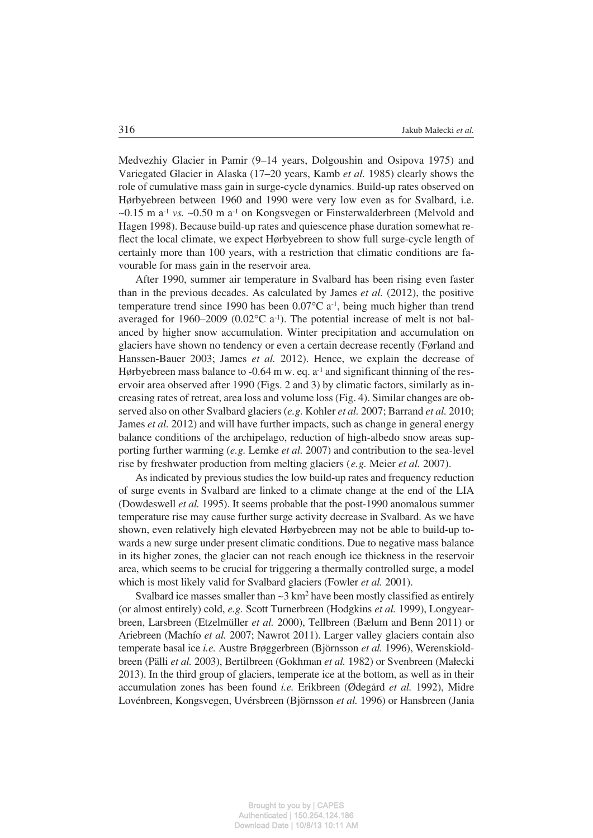Medvezhiy Glacier in Pamir (9–14 years, Dolgoushin and Osipova 1975) and Variegated Glacier in Alaska (17–20 years, Kamb *et al.* 1985) clearly shows the role of cumulative mass gain in surge−cycle dynamics. Build−up rates observed on Hørbyebreen between 1960 and 1990 were very low even as for Svalbard, i.e. ~0.15 m a−1 *vs.* ~0.50 m a−1 on Kongsvegen or Finsterwalderbreen (Melvold and Hagen 1998). Because build-up rates and quiescence phase duration somewhat re− flect the local climate, we expect Hørbyebreen to show full surge−cycle length of certainly more than 100 years, with a restriction that climatic conditions are fa− vourable for mass gain in the reservoir area.

After 1990, summer air temperature in Svalbard has been rising even faster than in the previous decades. As calculated by James *et al.* (2012), the positive temperature trend since 1990 has been  $0.07^{\circ}$ C a<sup>-1</sup>, being much higher than trend averaged for 1960–2009 (0.02 $^{\circ}$ C a<sup>-1</sup>). The potential increase of melt is not balanced by higher snow accumulation. Winter precipitation and accumulation on glaciers have shown no tendency or even a certain decrease recently (Førland and Hanssen−Bauer 2003; James *et al.* 2012). Hence, we explain the decrease of Hørbyebreen mass balance to -0.64 m w. eq. a<sup>-1</sup> and significant thinning of the res– ervoir area observed after 1990 (Figs. 2 and 3) by climatic factors, similarly as in− creasing rates of retreat, area loss and volume loss (Fig. 4). Similar changes are ob− served also on other Svalbard glaciers (*e.g.* Kohler *et al.* 2007; Barrand *et al.* 2010; James *et al.* 2012) and will have further impacts, such as change in general energy balance conditions of the archipelago, reduction of high−albedo snow areas sup− porting further warming (*e.g.* Lemke *et al.* 2007) and contribution to the sea−level rise by freshwater production from melting glaciers (*e.g.* Meier *et al.* 2007).

As indicated by previous studies the low build−up rates and frequency reduction of surge events in Svalbard are linked to a climate change at the end of the LIA (Dowdeswell *et al.* 1995). It seems probable that the post−1990 anomalous summer temperature rise may cause further surge activity decrease in Svalbard. As we have shown, even relatively high elevated Hørbyebreen may not be able to build−up to− wards a new surge under present climatic conditions. Due to negative mass balance in its higher zones, the glacier can not reach enough ice thickness in the reservoir area, which seems to be crucial for triggering a thermally controlled surge, a model which is most likely valid for Svalbard glaciers (Fowler *et al.* 2001).

Svalbard ice masses smaller than  $\sim$ 3 km<sup>2</sup> have been mostly classified as entirely (or almost entirely) cold, *e.g.* Scott Turnerbreen (Hodgkins *et al.* 1999), Longyear− breen, Larsbreen (Etzelmüller *et al.* 2000), Tellbreen (Bælum and Benn 2011) or Ariebreen (Machío *et al.* 2007; Nawrot 2011). Larger valley glaciers contain also temperate basal ice *i.e.* Austre Brøggerbreen (Björnsson *et al.* 1996), Werenskiold− breen (Pälli *et al.* 2003), Bertilbreen (Gokhman *et al.* 1982) or Svenbreen (Małecki 2013). In the third group of glaciers, temperate ice at the bottom, as well as in their accumulation zones has been found *i.e.* Erikbreen (Ødegård *et al.* 1992), Midre Lovénbreen, Kongsvegen, Uvérsbreen (Björnsson *et al.* 1996) or Hansbreen (Jania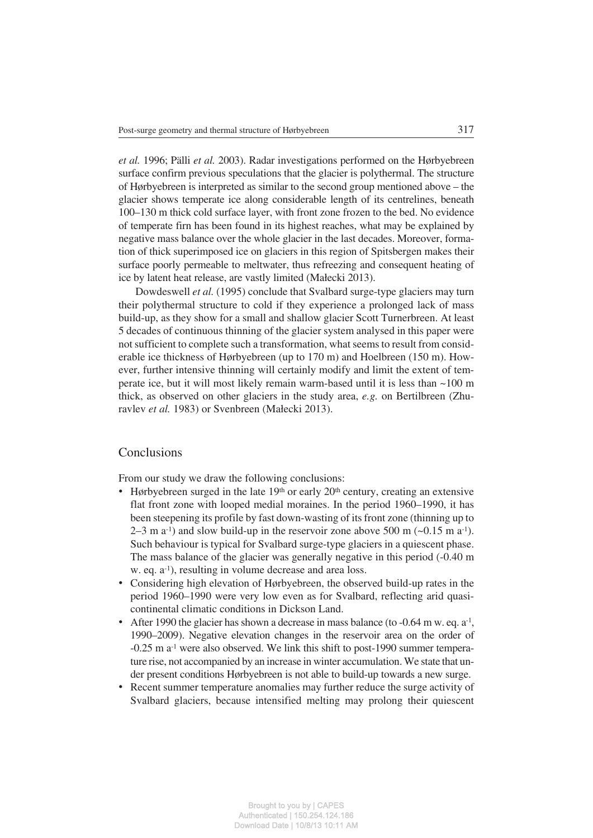*et al.* 1996; Pälli *et al.* 2003). Radar investigations performed on the Hørbyebreen surface confirm previous speculations that the glacier is polythermal. The structure of Hørbyebreen is interpreted as similar to the second group mentioned above – the glacier shows temperate ice along considerable length of its centrelines, beneath 100–130 m thick cold surface layer, with front zone frozen to the bed. No evidence of temperate firn has been found in its highest reaches, what may be explained by negative mass balance over the whole glacier in the last decades. Moreover, forma− tion of thick superimposed ice on glaciers in this region of Spitsbergen makes their surface poorly permeable to meltwater, thus refreezing and consequent heating of ice by latent heat release, are vastly limited (Małecki 2013).

Dowdeswell *et al.* (1995) conclude that Svalbard surge−type glaciers may turn their polythermal structure to cold if they experience a prolonged lack of mass build−up, as they show for a small and shallow glacier Scott Turnerbreen. At least 5 decades of continuous thinning of the glacier system analysed in this paper were not sufficient to complete such a transformation, what seems to result from consid− erable ice thickness of Hørbyebreen (up to 170 m) and Hoelbreen (150 m). However, further intensive thinning will certainly modify and limit the extent of tem− perate ice, but it will most likely remain warm−based until it is less than ~100 m thick, as observed on other glaciers in the study area, *e.g.* on Bertilbreen (Zhu− ravlev *et al.* 1983) or Svenbreen (Małecki 2013).

# **Conclusions**

From our study we draw the following conclusions: •

- $\bullet$  Hørbyebreen surged in the late 19<sup>th</sup> or early 20<sup>th</sup> century, creating an extensive flat front zone with looped medial moraines. In the period 1960–1990, it has been steepening its profile by fast down−wasting of its front zone (thinning up to  $2-3$  m a<sup>-1</sup>) and slow build-up in the reservoir zone above 500 m (~0.15 m a<sup>-1</sup>). Such behaviour is typical for Svalbard surge−type glaciers in a quiescent phase. The mass balance of the glacier was generally negative in this period (−0.40 m w. eq. a−1), resulting in volume decrease and area loss.
- Considering high elevation of Hørbyebreen, the observed build−up rates in the period 1960–1990 were very low even as for Svalbard, reflecting arid quasi− continental climatic conditions in Dickson Land.
- After 1990 the glacier has shown a decrease in mass balance (to -0.64 m w. eq. a<sup>-1</sup>, 1990–2009). Negative elevation changes in the reservoir area on the order of −0.25 m a−1 were also observed. We link this shift to post−1990 summer tempera− ture rise, not accompanied by an increase in winter accumulation. We state that un− der present conditions Hørbyebreen is not able to build−up towards a new surge.
- Recent summer temperature anomalies may further reduce the surge activity of Svalbard glaciers, because intensified melting may prolong their quiescent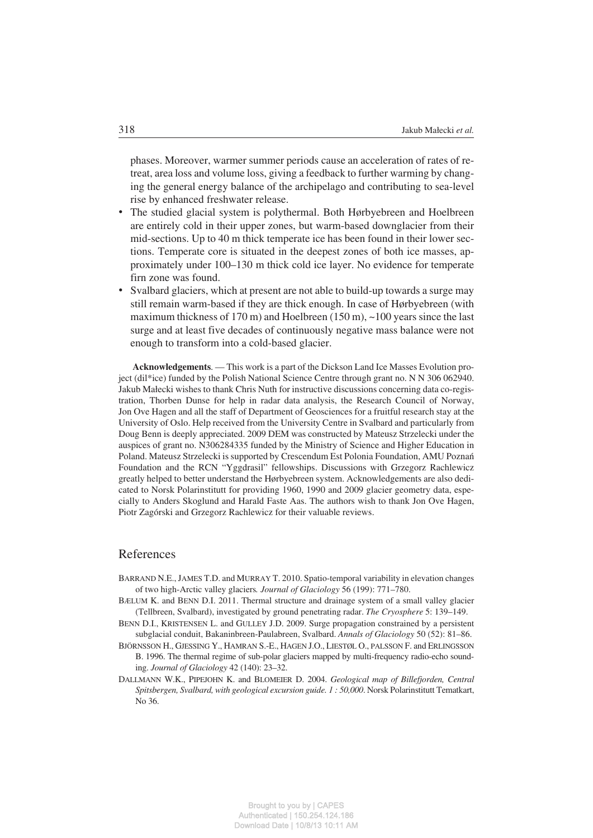phases. Moreover, warmer summer periods cause an acceleration of rates of re− treat, area loss and volume loss, giving a feedback to further warming by chang− ing the general energy balance of the archipelago and contributing to sea−level rise by enhanced freshwater release.

- The studied glacial system is polythermal. Both Hørbyebreen and Hoelbreen are entirely cold in their upper zones, but warm−based downglacier from their mid−sections. Up to 40 m thick temperate ice has been found in their lower sec− tions. Temperate core is situated in the deepest zones of both ice masses, ap− proximately under 100–130 m thick cold ice layer. No evidence for temperate firn zone was found.
- Svalbard glaciers, which at present are not able to build−up towards a surge may still remain warm−based if they are thick enough. In case of Hørbyebreen (with maximum thickness of 170 m) and Hoelbreen (150 m),  $\sim$ 100 years since the last surge and at least five decades of continuously negative mass balance were not enough to transform into a cold−based glacier.

**Acknowledgements**. — This work is a part of the Dickson Land Ice Masses Evolution pro− ject (dil\*ice) funded by the Polish National Science Centre through grant no. N N 306 062940. Jakub Małecki wishes to thank Chris Nuth for instructive discussions concerning data co−regis− tration, Thorben Dunse for help in radar data analysis, the Research Council of Norway, Jon Ove Hagen and all the staff of Department of Geosciences for a fruitful research stay at the University of Oslo. Help received from the University Centre in Svalbard and particularly from Doug Benn is deeply appreciated. 2009 DEM was constructed by Mateusz Strzelecki under the auspices of grant no. N306284335 funded by the Ministry of Science and Higher Education in Poland. Mateusz Strzelecki is supported by Crescendum Est Polonia Foundation, AMU Poznań Foundation and the RCN "Yggdrasil" fellowships. Discussions with Grzegorz Rachlewicz greatly helped to better understand the Hørbyebreen system. Acknowledgements are also dedi− cated to Norsk Polarinstitutt for providing 1960, 1990 and 2009 glacier geometry data, espe− cially to Anders Skoglund and Harald Faste Aas. The authors wish to thank Jon Ove Hagen, Piotr Zagórski and Grzegorz Rachlewicz for their valuable reviews.

# References

- BARRAND N.E., JAMES T.D. and MURRAY T. 2010. Spatio−temporal variability in elevation changes of two high−Arctic valley glaciers*. Journal of Glaciology* 56 (199): 771–780.
- BÆLUM K. and BENN D.I. 2011. Thermal structure and drainage system of a small valley glacier (Tellbreen, Svalbard), investigated by ground penetrating radar. *The Cryosphere* 5: 139–149.
- BENN D.I., KRISTENSEN L. and GULLEY J.D. 2009. Surge propagation constrained by a persistent subglacial conduit, Bakaninbreen−Paulabreen, Svalbard. *Annals of Glaciology* 50 (52): 81–86.
- BJÖRNSSON H., GJESSING Y., HAMRAN S.−E., HAGEN J.O., LIESTØL O., PALSSON F. and ERLINGSSON B. 1996. The thermal regime of sub-polar glaciers mapped by multi-frequency radio-echo sound– ing. *Journal of Glaciology* 42 (140): 23–32.
- DALLMANN W.K., PIPEJOHN K. and BLOMEIER D. 2004. *Geological map of Billefjorden, Central Spitsbergen, Svalbard, with geological excursion guide. 1 : 50,000*. Norsk Polarinstitutt Tematkart, No 36.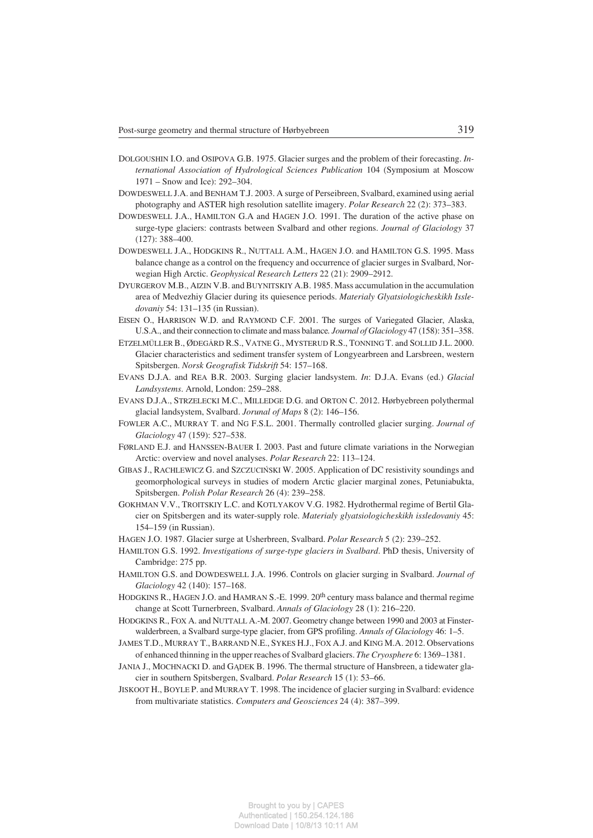- DOLGOUSHIN I.O. and OSIPOVA G.B. 1975. Glacier surges and the problem of their forecasting. *In− ternational Association of Hydrological Sciences Publication* 104 (Symposium at Moscow 1971 – Snow and Ice): 292–304.
- DOWDESWELL J.A. and BENHAM T.J. 2003. A surge of Perseibreen, Svalbard, examined using aerial photography and ASTER high resolution satellite imagery. *Polar Research* 22 (2): 373–383.
- DOWDESWELL J.A., HAMILTON G.A and HAGEN J.O. 1991. The duration of the active phase on surge−type glaciers: contrasts between Svalbard and other regions. *Journal of Glaciology* 37 (127): 388–400.
- DOWDESWELL J.A., HODGKINS R., NUTTALL A.M., HAGEN J.O. and HAMILTON G.S. 1995. Mass balance change as a control on the frequency and occurrence of glacier surges in Svalbard, Nor− wegian High Arctic. *Geophysical Research Letters* 22 (21): 2909–2912.
- DYURGEROV M.B., AIZIN V.B. and BUYNITSKIY A.B. 1985. Mass accumulation in the accumulation area of Medvezhiy Glacier during its quiesence periods. *Materialy Glyatsiologicheskikh Issle− dovaniy* 54: 131–135 (in Russian).
- EISEN O., HARRISON W.D. and RAYMOND C.F. 2001. The surges of Variegated Glacier, Alaska, U.S.A., and their connection to climate and mass balance*. Journal of Glaciology* 47 (158): 351–358.
- ETZELMÜLLER B., ØDEGÅRD R.S., VATNE G., MYSTERUD R.S., TONNING T. and SOLLID J.L. 2000. Glacier characteristics and sediment transfer system of Longyearbreen and Larsbreen, western Spitsbergen. *Norsk Geografisk Tidskrift* 54: 157–168.
- EVANS D.J.A. and REA B.R. 2003. Surging glacier landsystem. *In*: D.J.A. Evans (ed.) *Glacial Landsystems*. Arnold, London: 259–288.
- EVANS D.J.A., STRZELECKI M.C., MILLEDGE D.G. and ORTON C. 2012. Hørbyebreen polythermal glacial landsystem, Svalbard. *Jorunal of Maps* 8 (2): 146–156.
- FOWLER A.C., MURRAY T. and NG F.S.L. 2001. Thermally controlled glacier surging. *Journal of Glaciology* 47 (159): 527–538.
- FØRLAND E.J. and HANSSEN−BAUER I. 2003. Past and future climate variations in the Norwegian Arctic: overview and novel analyses. *Polar Research* 22: 113–124.
- GIBAS J., RACHLEWICZ G. and SZCZUCIŃSKI W. 2005. Application of DC resistivity soundings and geomorphological surveys in studies of modern Arctic glacier marginal zones, Petuniabukta, Spitsbergen. *Polish Polar Research* 26 (4): 239–258.
- GOKHMAN V.V., TROITSKIY L.C. and KOTLYAKOV V.G. 1982. Hydrothermal regime of Bertil Gla− cier on Spitsbergen and its water−supply role. *Materialy glyatsiologicheskikh issledovaniy* 45: 154–159 (in Russian).
- HAGEN J.O. 1987. Glacier surge at Usherbreen, Svalbard. *Polar Research* 5 (2): 239–252.
- HAMILTON G.S. 1992. *Investigations of surge−type glaciers in Svalbard*. PhD thesis, University of Cambridge: 275 pp.
- HAMILTON G.S. and DOWDESWELL J.A. 1996. Controls on glacier surging in Svalbard. *Journal of Glaciology* 42 (140): 157–168.
- HODGKINS R., HAGEN J.O. and HAMRAN S.-E. 1999. 20<sup>th</sup> century mass balance and thermal regime change at Scott Turnerbreen, Svalbard. *Annals of Glaciology* 28 (1): 216–220.
- HODGKINS R., FOX A. and NUTTALL A.−M. 2007. Geometry change between 1990 and 2003 at Finster− walderbreen, a Svalbard surge−type glacier, from GPS profiling. *Annals of Glaciology* 46: 1–5.
- JAMES T.D., MURRAY T., BARRAND N.E., SYKES H.J., FOX A.J. and KING M.A. 2012. Observations of enhanced thinning in the upper reaches of Svalbard glaciers. *The Cryosphere* 6: 1369–1381.
- JANIA J., MOCHNACKI D. and GĄDEK B. 1996. The thermal structure of Hansbreen, a tidewater gla− cier in southern Spitsbergen, Svalbard. *Polar Research* 15 (1): 53–66.
- JISKOOT H., BOYLE P. and MURRAY T. 1998. The incidence of glacier surging in Svalbard: evidence from multivariate statistics. *Computers and Geosciences* 24 (4): 387–399.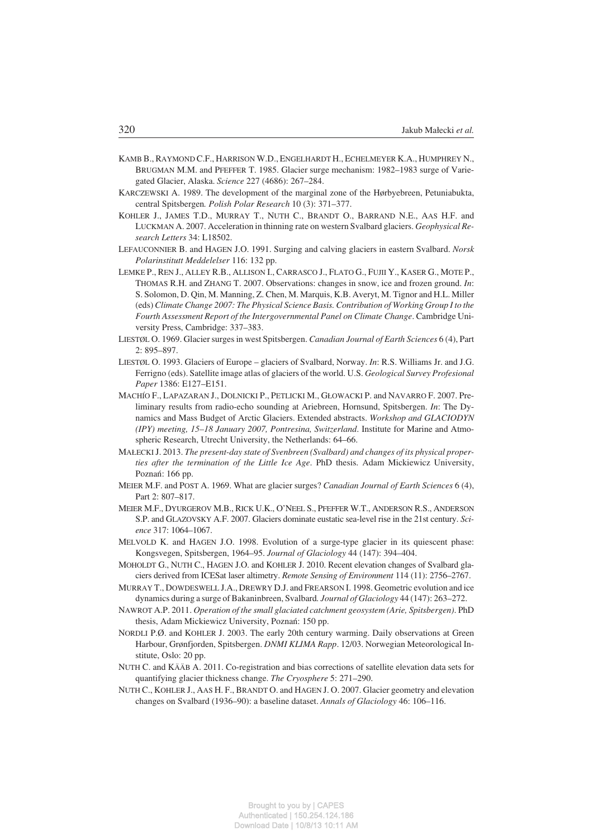- KAMB B., RAYMOND C.F., HARRISON W.D., ENGELHARDT H., ECHELMEYER K.A., HUMPHREY N., BRUGMAN M.M. and PFEFFER T. 1985. Glacier surge mechanism: 1982–1983 surge of Varie− gated Glacier, Alaska. *Science* 227 (4686): 267–284.
- KARCZEWSKI A. 1989. The development of the marginal zone of the Hørbyebreen, Petuniabukta, central Spitsbergen*. Polish Polar Research* 10 (3): 371–377.
- KOHLER J., JAMES T.D., MURRAY T., NUTH C., BRANDT O., BARRAND N.E., AAS H.F. and LUCKMAN A. 2007. Acceleration in thinning rate on western Svalbard glaciers. *Geophysical Re− search Letters* 34: L18502.
- LEFAUCONNIER B. and HAGEN J.O. 1991. Surging and calving glaciers in eastern Svalbard. *Norsk Polarinstitutt Meddelelser* 116: 132 pp.
- LEMKE P., REN J., ALLEY R.B., ALLISON I., CARRASCO J., FLATO G., FUJII Y., KASER G., MOTE P., THOMAS R.H. and ZHANG T. 2007. Observations: changes in snow, ice and frozen ground. *In*: S. Solomon, D. Qin, M. Manning, Z. Chen, M. Marquis, K.B. Averyt, M. Tignor and H.L. Miller (eds) *Climate Change 2007: The Physical Science Basis. Contribution of Working Group I to the Fourth Assessment Report of the Intergovernmental Panel on Climate Change*. Cambridge Uni− versity Press, Cambridge: 337–383.
- LIESTØL O. 1969. Glacier surges in west Spitsbergen. *Canadian Journal of Earth Sciences* 6 (4), Part 2: 895–897.
- LIESTØL O. 1993. Glaciers of Europe glaciers of Svalbard, Norway. *In*: R.S. Williams Jr. and J.G. Ferrigno (eds). Satellite image atlas of glaciers of the world. U.S. *Geological Survey Profesional Paper* 1386: E127–E151.
- MACHÍO F., LAPAZARAN J., DOLNICKI P., PETLICKI M., GŁOWACKI P. and NAVARRO F. 2007. Pre− liminary results from radio−echo sounding at Ariebreen, Hornsund, Spitsbergen. *In*: The Dy− namics and Mass Budget of Arctic Glaciers. Extended abstracts. *Workshop and GLACIODYN (IPY) meeting, 15–18 January 2007, Pontresina, Switzerland*. Institute for Marine and Atmo− spheric Research, Utrecht University, the Netherlands: 64–66.
- MAŁECKIJ. 2013. *The present−day state of Svenbreen (Svalbard) and changes of its physical proper− ties after the termination of the Little Ice Age*. PhD thesis. Adam Mickiewicz University, Poznań: 166 pp.
- MEIER M.F. and POST A. 1969. What are glacier surges? *Canadian Journal of Earth Sciences* 6 (4), Part 2: 807–817.
- MEIER M.F., DYURGEROV M.B., RICK U.K., O'NEEL S., PFEFFER W.T., ANDERSON R.S., ANDERSON S.P. and GLAZOVSKY A.F. 2007. Glaciers dominate eustatic sea−level rise in the 21st century. *Sci− ence* 317: 1064–1067.
- MELVOLD K. and HAGEN J.O. 1998. Evolution of a surge−type glacier in its quiescent phase: Kongsvegen, Spitsbergen, 1964–95. *Journal of Glaciology* 44 (147): 394–404.
- MOHOLDT G., NUTH C., HAGEN J.O. and KOHLER J. 2010. Recent elevation changes of Svalbard gla− ciers derived from ICESat laser altimetry. *Remote Sensing of Environment* 114 (11): 2756–2767.
- MURRAY T., DOWDESWELL J.A., DREWRY D.J. and FREARSON I. 1998. Geometric evolution and ice dynamics during a surge of Bakaninbreen, Svalbard*. Journal of Glaciology* 44 (147): 263–272.
- NAWROT A.P. 2011. *Operation of the small glaciated catchment geosystem (Arie, Spitsbergen)*. PhD thesis, Adam Mickiewicz University, Poznań: 150 pp.
- NORDLI P.Ø. and KOHLER J. 2003. The early 20th century warming. Daily observations at Green Harbour, Grønfjorden, Spitsbergen. *DNMI KLIMA Rapp*. 12/03. Norwegian Meteorological In− stitute, Oslo: 20 pp.
- NUTH C. and KÄÄB A. 2011. Co−registration and bias corrections of satellite elevation data sets for quantifying glacier thickness change. *The Cryosphere* 5: 271–290.
- NUTH C., KOHLER J., AAS H. F., BRANDT O. and HAGEN J. O. 2007. Glacier geometry and elevation changes on Svalbard (1936–90): a baseline dataset. *Annals of Glaciology* 46: 106–116.